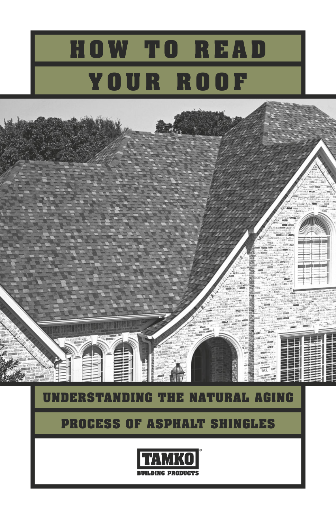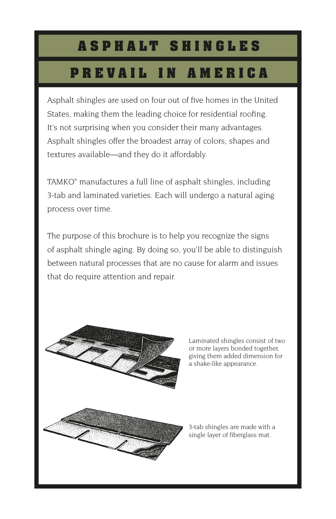#### **A S P H A L T S H I N G L E S**

## **P R E V A I L I N A M E R I C A**

Asphalt shingles are used on four out of five homes in the United States, making them the leading choice for residential roofing. It's not surprising when you consider their many advantages. Asphalt shingles offer the broadest array of colors, shapes and textures available—and they do it affordably.

TAMKO® manufactures a full line of asphalt shingles, including 3-tab and laminated varieties. Each will undergo a natural aging process over time.

The purpose of this brochure is to help you recognize the signs of asphalt shingle aging. By doing so, you'll be able to distinguish between natural processes that are no cause for alarm and issues that do require attention and repair.



Laminated shingles consist of two or more layers bonded together, giving them added dimension for a shake-like appearance.

3-tab shingles are made with a single layer of fiberglass mat.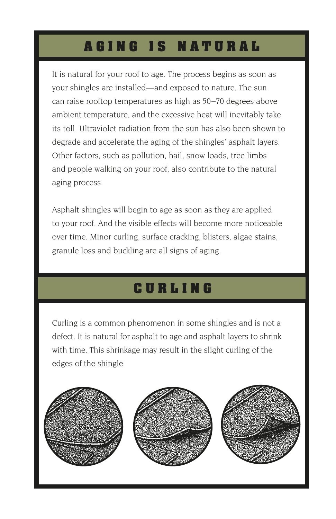# **AGING IS NATURAL**

It is natural for your roof to age. The process begins as soon as your shingles are installed—and exposed to nature. The sun can raise rooftop temperatures as high as 50–70 degrees above ambient temperature, and the excessive heat will inevitably take its toll. Ultraviolet radiation from the sun has also been shown to degrade and accelerate the aging of the shingles' asphalt layers. Other factors, such as pollution, hail, snow loads, tree limbs and people walking on your roof, also contribute to the natural aging process.

Asphalt shingles will begin to age as soon as they are applied to your roof. And the visible effects will become more noticeable over time. Minor curling, surface cracking, blisters, algae stains, granule loss and buckling are all signs of aging.

# **CURLING**

Curling is a common phenomenon in some shingles and is not a defect. It is natural for asphalt to age and asphalt layers to shrink with time. This shrinkage may result in the slight curling of the edges of the shingle.

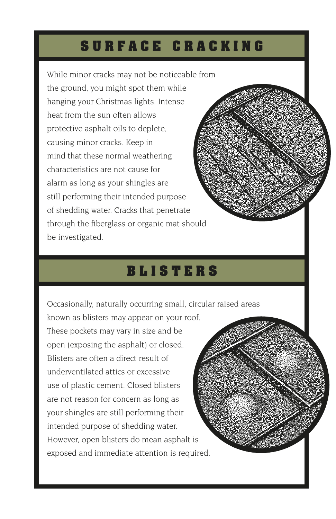#### **SURFACE CRACKING**

While minor cracks may not be noticeable from the ground, you might spot them while hanging your Christmas lights. Intense heat from the sun often allows protective asphalt oils to deplete, causing minor cracks. Keep in mind that these normal weathering characteristics are not cause for alarm as long as your shingles are still performing their intended purpose of shedding water. Cracks that penetrate through the fiberglass or organic mat should be investigated.

#### **BLISTERS**

Occasionally, naturally occurring small, circular raised areas

known as blisters may appear on your roof. These pockets may vary in size and be open (exposing the asphalt) or closed. Blisters are often a direct result of underventilated attics or excessive use of plastic cement. Closed blisters are not reason for concern as long as your shingles are still performing their intended purpose of shedding water. However, open blisters do mean asphalt is exposed and immediate attention is required.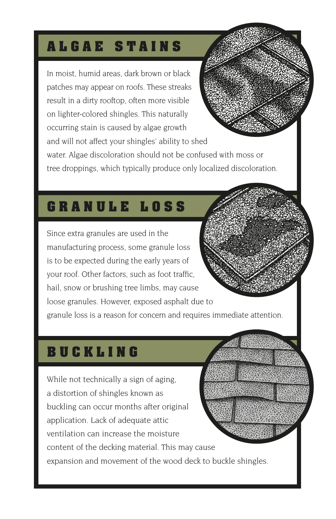## **ALGAE STAINS**

In moist, humid areas, dark brown or black patches may appear on roofs. These streaks result in a dirty rooftop, often more visible on lighter-colored shingles. This naturally occurring stain is caused by algae growth and will not affect your shingles' ability to shed water. Algae discoloration should not be confused with moss or tree droppings, which typically produce only localized discoloration.

### **GRANULE LOSS**

Since extra granules are used in the manufacturing process, some granule loss is to be expected during the early years of your roof. Other factors, such as foot traffic, hail, snow or brushing tree limbs, may cause loose granules. However, exposed asphalt due to granule loss is a reason for concern and requires immediate attention.

## **BUCKLING**

While not technically a sign of aging, a distortion of shingles known as buckling can occur months after original application. Lack of adequate attic ventilation can increase the moisture content of the decking material. This may cause expansion and movement of the wood deck to buckle shingles.